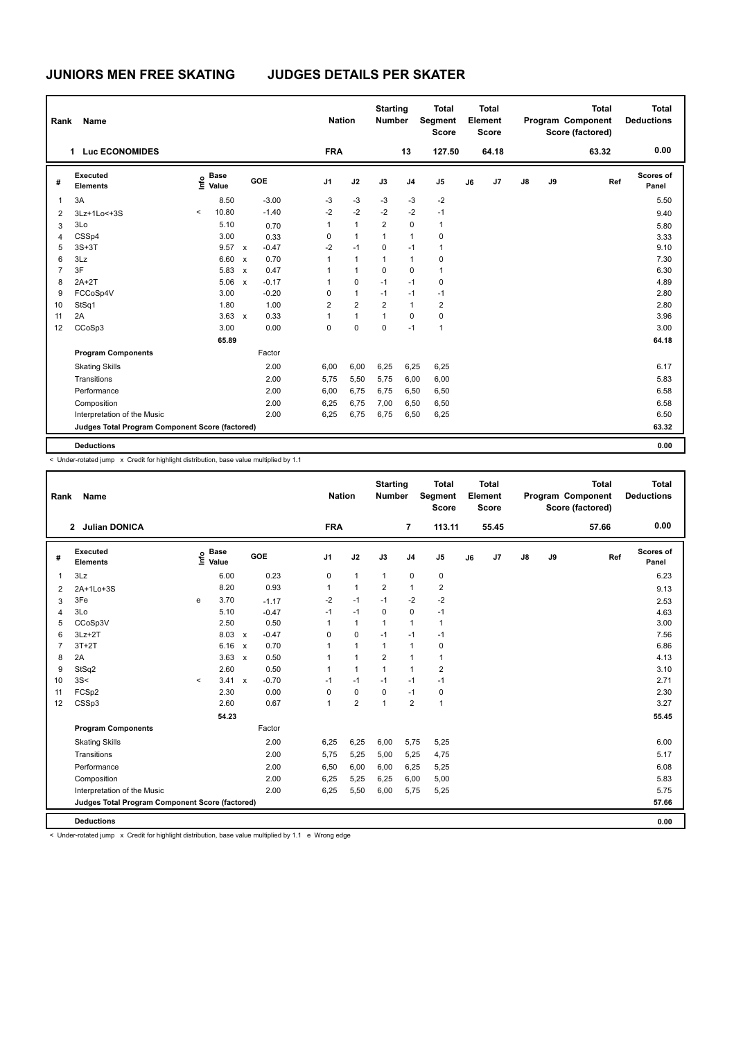| Rank           | Name                                            |              |                                  |                           |         | <b>Nation</b>  |                | <b>Starting</b><br><b>Number</b> |                | <b>Total</b><br>Segment<br><b>Score</b> |    | <b>Total</b><br>Element<br><b>Score</b> |    |    | <b>Total</b><br>Program Component<br>Score (factored) | <b>Total</b><br><b>Deductions</b> |
|----------------|-------------------------------------------------|--------------|----------------------------------|---------------------------|---------|----------------|----------------|----------------------------------|----------------|-----------------------------------------|----|-----------------------------------------|----|----|-------------------------------------------------------|-----------------------------------|
|                | 1 Luc ECONOMIDES                                |              |                                  |                           |         | <b>FRA</b>     |                |                                  | 13             | 127.50                                  |    | 64.18                                   |    |    | 63.32                                                 | 0.00                              |
| #              | Executed<br><b>Elements</b>                     |              | <b>Base</b><br>e Base<br>⊆ Value |                           | GOE     | J <sub>1</sub> | J2             | J3                               | J <sub>4</sub> | J <sub>5</sub>                          | J6 | J7                                      | J8 | J9 | Ref                                                   | Scores of<br>Panel                |
| 1              | 3A                                              |              | 8.50                             |                           | $-3.00$ | $-3$           | $-3$           | $-3$                             | $-3$           | $-2$                                    |    |                                         |    |    |                                                       | 5.50                              |
| 2              | 3Lz+1Lo<+3S                                     | $\checkmark$ | 10.80                            |                           | $-1.40$ | $-2$           | $-2$           | $-2$                             | $-2$           | $-1$                                    |    |                                         |    |    |                                                       | 9.40                              |
| 3              | 3Lo                                             |              | 5.10                             |                           | 0.70    | $\mathbf{1}$   | $\mathbf{1}$   | $\overline{2}$                   | 0              | $\mathbf{1}$                            |    |                                         |    |    |                                                       | 5.80                              |
| 4              | CSSp4                                           |              | 3.00                             |                           | 0.33    | 0              | $\mathbf{1}$   | 1                                | $\overline{1}$ | 0                                       |    |                                         |    |    |                                                       | 3.33                              |
| 5              | $3S+3T$                                         |              | $9.57 \times$                    |                           | $-0.47$ | $-2$           | $-1$           | $\mathbf 0$                      | $-1$           | $\mathbf{1}$                            |    |                                         |    |    |                                                       | 9.10                              |
| 6              | 3Lz                                             |              | 6.60                             | $\boldsymbol{\mathsf{x}}$ | 0.70    | $\mathbf{1}$   | $\mathbf{1}$   | $\mathbf{1}$                     | $\mathbf{1}$   | 0                                       |    |                                         |    |    |                                                       | 7.30                              |
| $\overline{7}$ | 3F                                              |              | 5.83                             | $\mathsf{x}$              | 0.47    | 1              | $\mathbf{1}$   | 0                                | $\mathbf 0$    | $\mathbf{1}$                            |    |                                         |    |    |                                                       | 6.30                              |
| 8              | $2A+2T$                                         |              | 5.06                             | $\mathsf{x}$              | $-0.17$ | 1              | $\mathbf 0$    | $-1$                             | $-1$           | 0                                       |    |                                         |    |    |                                                       | 4.89                              |
| 9              | FCCoSp4V                                        |              | 3.00                             |                           | $-0.20$ | 0              | $\mathbf{1}$   | $-1$                             | $-1$           | $-1$                                    |    |                                         |    |    |                                                       | 2.80                              |
| 10             | StSq1                                           |              | 1.80                             |                           | 1.00    | $\overline{2}$ | $\overline{2}$ | $\overline{2}$                   | $\mathbf{1}$   | $\overline{2}$                          |    |                                         |    |    |                                                       | 2.80                              |
| 11             | 2A                                              |              | 3.63                             | $\mathsf{x}$              | 0.33    | $\mathbf{1}$   | $\mathbf{1}$   | $\mathbf{1}$                     | $\mathbf 0$    | $\mathbf 0$                             |    |                                         |    |    |                                                       | 3.96                              |
| 12             | CCoSp3                                          |              | 3.00                             |                           | 0.00    | 0              | $\mathbf 0$    | $\Omega$                         | $-1$           | $\mathbf{1}$                            |    |                                         |    |    |                                                       | 3.00                              |
|                |                                                 |              | 65.89                            |                           |         |                |                |                                  |                |                                         |    |                                         |    |    |                                                       | 64.18                             |
|                | <b>Program Components</b>                       |              |                                  |                           | Factor  |                |                |                                  |                |                                         |    |                                         |    |    |                                                       |                                   |
|                | <b>Skating Skills</b>                           |              |                                  |                           | 2.00    | 6.00           | 6,00           | 6,25                             | 6,25           | 6,25                                    |    |                                         |    |    |                                                       | 6.17                              |
|                | Transitions                                     |              |                                  |                           | 2.00    | 5.75           | 5,50           | 5,75                             | 6,00           | 6,00                                    |    |                                         |    |    |                                                       | 5.83                              |
|                | Performance                                     |              |                                  |                           | 2.00    | 6,00           | 6,75           | 6,75                             | 6,50           | 6,50                                    |    |                                         |    |    |                                                       | 6.58                              |
|                | Composition                                     |              |                                  |                           | 2.00    | 6,25           | 6,75           | 7,00                             | 6,50           | 6,50                                    |    |                                         |    |    |                                                       | 6.58                              |
|                | Interpretation of the Music                     |              |                                  |                           | 2.00    | 6,25           | 6,75           | 6,75                             | 6,50           | 6,25                                    |    |                                         |    |    |                                                       | 6.50                              |
|                | Judges Total Program Component Score (factored) |              |                                  |                           |         |                |                |                                  |                |                                         |    |                                         |    |    |                                                       | 63.32                             |
|                | <b>Deductions</b>                               |              |                                  |                           |         |                |                |                                  |                |                                         |    |                                         |    |    |                                                       | 0.00                              |

< Under-rotated jump x Credit for highlight distribution, base value multiplied by 1.1

| Rank           | Name                                            |         |                                  |              |         | <b>Nation</b>  |                | <b>Starting</b><br><b>Number</b> |                | <b>Total</b><br>Segment<br><b>Score</b> |    | <b>Total</b><br>Element<br><b>Score</b> |    |    | <b>Total</b><br>Program Component<br>Score (factored) | <b>Total</b><br><b>Deductions</b> |
|----------------|-------------------------------------------------|---------|----------------------------------|--------------|---------|----------------|----------------|----------------------------------|----------------|-----------------------------------------|----|-----------------------------------------|----|----|-------------------------------------------------------|-----------------------------------|
|                | 2 Julian DONICA                                 |         |                                  |              |         | <b>FRA</b>     |                |                                  | $\overline{7}$ | 113.11                                  |    | 55.45                                   |    |    | 57.66                                                 | 0.00                              |
| #              | <b>Executed</b><br><b>Elements</b>              |         | <b>Base</b><br>e Base<br>⊆ Value | GOE          |         | J <sub>1</sub> | J2             | J3                               | J <sub>4</sub> | J <sub>5</sub>                          | J6 | J <sub>7</sub>                          | J8 | J9 | Ref                                                   | Scores of<br>Panel                |
| $\mathbf{1}$   | 3Lz                                             |         | 6.00                             |              | 0.23    | 0              | $\mathbf{1}$   | $\mathbf{1}$                     | $\mathbf 0$    | 0                                       |    |                                         |    |    |                                                       | 6.23                              |
| $\overline{2}$ | 2A+1Lo+3S                                       |         | 8.20                             |              | 0.93    | $\mathbf{1}$   | $\mathbf{1}$   | 2                                | $\mathbf{1}$   | $\overline{2}$                          |    |                                         |    |    |                                                       | 9.13                              |
| 3              | 3Fe                                             | e       | 3.70                             |              | $-1.17$ | $-2$           | $-1$           | $-1$                             | $-2$           | $-2$                                    |    |                                         |    |    |                                                       | 2.53                              |
| 4              | 3Lo                                             |         | 5.10                             |              | $-0.47$ | $-1$           | $-1$           | 0                                | 0              | $-1$                                    |    |                                         |    |    |                                                       | 4.63                              |
| 5              | CCoSp3V                                         |         | 2.50                             |              | 0.50    | $\mathbf{1}$   | $\mathbf{1}$   | $\mathbf{1}$                     | $\mathbf{1}$   | $\mathbf{1}$                            |    |                                         |    |    |                                                       | 3.00                              |
| 6              | $3Lz + 2T$                                      |         | 8.03                             | $\mathsf{x}$ | $-0.47$ | $\Omega$       | $\Omega$       | $-1$                             | $-1$           | $-1$                                    |    |                                         |    |    |                                                       | 7.56                              |
| $\overline{7}$ | $3T+2T$                                         |         | 6.16                             | $\mathbf{x}$ | 0.70    | $\mathbf{1}$   | $\mathbf{1}$   | $\mathbf{1}$                     | $\mathbf{1}$   | 0                                       |    |                                         |    |    |                                                       | 6.86                              |
| 8              | 2A                                              |         | 3.63                             | $\mathsf{x}$ | 0.50    | 1              | $\mathbf{1}$   | $\overline{2}$                   | $\mathbf{1}$   | $\mathbf{1}$                            |    |                                         |    |    |                                                       | 4.13                              |
| 9              | StSq2                                           |         | 2.60                             |              | 0.50    | $\mathbf{1}$   | $\mathbf{1}$   | $\mathbf{1}$                     | $\mathbf{1}$   | $\overline{\mathbf{c}}$                 |    |                                         |    |    |                                                       | 3.10                              |
| 10             | 3S<                                             | $\,<\,$ | 3.41                             | $\mathsf{x}$ | $-0.70$ | $-1$           | $-1$           | $-1$                             | $-1$           | $-1$                                    |    |                                         |    |    |                                                       | 2.71                              |
| 11             | FCSp2                                           |         | 2.30                             |              | 0.00    | 0              | $\Omega$       | $\Omega$                         | $-1$           | 0                                       |    |                                         |    |    |                                                       | 2.30                              |
| 12             | CSSp3                                           |         | 2.60                             |              | 0.67    | $\mathbf{1}$   | $\overline{2}$ | $\overline{1}$                   | $\overline{2}$ | $\mathbf{1}$                            |    |                                         |    |    |                                                       | 3.27                              |
|                |                                                 |         | 54.23                            |              |         |                |                |                                  |                |                                         |    |                                         |    |    |                                                       | 55.45                             |
|                | <b>Program Components</b>                       |         |                                  |              | Factor  |                |                |                                  |                |                                         |    |                                         |    |    |                                                       |                                   |
|                | <b>Skating Skills</b>                           |         |                                  |              | 2.00    | 6,25           | 6,25           | 6,00                             | 5,75           | 5,25                                    |    |                                         |    |    |                                                       | 6.00                              |
|                | Transitions                                     |         |                                  |              | 2.00    | 5,75           | 5,25           | 5,00                             | 5,25           | 4,75                                    |    |                                         |    |    |                                                       | 5.17                              |
|                | Performance                                     |         |                                  |              | 2.00    | 6,50           | 6,00           | 6.00                             | 6,25           | 5,25                                    |    |                                         |    |    |                                                       | 6.08                              |
|                | Composition                                     |         |                                  |              | 2.00    | 6,25           | 5,25           | 6,25                             | 6,00           | 5,00                                    |    |                                         |    |    |                                                       | 5.83                              |
|                | Interpretation of the Music                     |         |                                  |              | 2.00    | 6,25           | 5,50           | 6,00                             | 5,75           | 5,25                                    |    |                                         |    |    |                                                       | 5.75                              |
|                | Judges Total Program Component Score (factored) |         |                                  |              |         |                |                |                                  |                |                                         |    |                                         |    |    |                                                       | 57.66                             |
|                | <b>Deductions</b>                               |         |                                  |              |         |                |                |                                  |                |                                         |    |                                         |    |    |                                                       | 0.00                              |

< Under-rotated jump x Credit for highlight distribution, base value multiplied by 1.1 e Wrong edge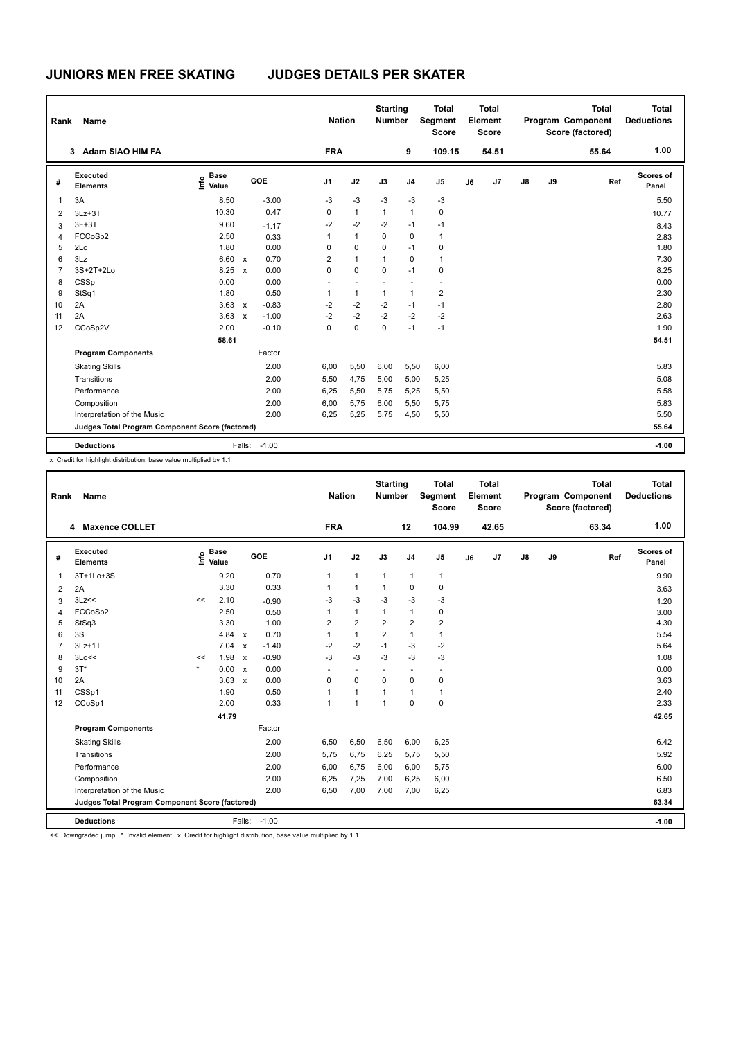| Rank           | Name                                            |                                  |              |         |                | <b>Nation</b>            | <b>Starting</b><br><b>Number</b> |                | <b>Total</b><br>Segment<br><b>Score</b> |    | Total<br>Element<br><b>Score</b> |    |    | <b>Total</b><br>Program Component<br>Score (factored) | <b>Total</b><br><b>Deductions</b> |
|----------------|-------------------------------------------------|----------------------------------|--------------|---------|----------------|--------------------------|----------------------------------|----------------|-----------------------------------------|----|----------------------------------|----|----|-------------------------------------------------------|-----------------------------------|
|                | Adam SIAO HIM FA<br>3                           |                                  |              |         | <b>FRA</b>     |                          |                                  | 9              | 109.15                                  |    | 54.51                            |    |    | 55.64                                                 | 1.00                              |
| #              | Executed<br><b>Elements</b>                     | <b>Base</b><br>e Base<br>⊆ Value |              | GOE     | J <sub>1</sub> | J2                       | J3                               | J <sub>4</sub> | J <sub>5</sub>                          | J6 | J <sub>7</sub>                   | J8 | J9 | Ref                                                   | <b>Scores of</b><br>Panel         |
| $\mathbf{1}$   | 3A                                              | 8.50                             |              | $-3.00$ | $-3$           | $-3$                     | $-3$                             | $-3$           | $-3$                                    |    |                                  |    |    |                                                       | 5.50                              |
| $\overline{2}$ | $3Lz + 3T$                                      | 10.30                            |              | 0.47    | 0              | $\mathbf{1}$             | $\mathbf{1}$                     | $\mathbf{1}$   | 0                                       |    |                                  |    |    |                                                       | 10.77                             |
| 3              | $3F+3T$                                         | 9.60                             |              | $-1.17$ | $-2$           | $-2$                     | $-2$                             | $-1$           | $-1$                                    |    |                                  |    |    |                                                       | 8.43                              |
| $\overline{4}$ | FCCoSp2                                         | 2.50                             |              | 0.33    | $\mathbf{1}$   | $\mathbf{1}$             | 0                                | 0              | $\mathbf{1}$                            |    |                                  |    |    |                                                       | 2.83                              |
| 5              | 2Lo                                             | 1.80                             |              | 0.00    | 0              | $\mathbf 0$              | $\Omega$                         | $-1$           | 0                                       |    |                                  |    |    |                                                       | 1.80                              |
| 6              | 3Lz                                             | 6.60                             | $\mathsf{x}$ | 0.70    | $\overline{2}$ | $\mathbf{1}$             | $\mathbf{1}$                     | $\mathbf 0$    | $\mathbf{1}$                            |    |                                  |    |    |                                                       | 7.30                              |
| $\overline{7}$ | 3S+2T+2Lo                                       | 8.25                             | $\mathbf{x}$ | 0.00    | $\Omega$       | $\Omega$                 | $\Omega$                         | $-1$           | $\mathbf 0$                             |    |                                  |    |    |                                                       | 8.25                              |
| 8              | CSSp                                            | 0.00                             |              | 0.00    | $\overline{a}$ | $\overline{\phantom{a}}$ |                                  | ÷              | ä,                                      |    |                                  |    |    |                                                       | 0.00                              |
| 9              | StSq1                                           | 1.80                             |              | 0.50    | $\mathbf{1}$   | $\mathbf{1}$             | $\mathbf{1}$                     | $\mathbf{1}$   | $\overline{2}$                          |    |                                  |    |    |                                                       | 2.30                              |
| 10             | 2A                                              | 3.63                             | $\mathsf{x}$ | $-0.83$ | $-2$           | $-2$                     | $-2$                             | $-1$           | $-1$                                    |    |                                  |    |    |                                                       | 2.80                              |
| 11             | 2A                                              | 3.63                             | $\mathsf{x}$ | $-1.00$ | $-2$           | $-2$                     | $-2$                             | $-2$           | $-2$                                    |    |                                  |    |    |                                                       | 2.63                              |
| 12             | CCoSp2V                                         | 2.00                             |              | $-0.10$ | $\Omega$       | 0                        | $\Omega$                         | $-1$           | $-1$                                    |    |                                  |    |    |                                                       | 1.90                              |
|                |                                                 | 58.61                            |              |         |                |                          |                                  |                |                                         |    |                                  |    |    |                                                       | 54.51                             |
|                | <b>Program Components</b>                       |                                  |              | Factor  |                |                          |                                  |                |                                         |    |                                  |    |    |                                                       |                                   |
|                | <b>Skating Skills</b>                           |                                  |              | 2.00    | 6,00           | 5,50                     | 6,00                             | 5,50           | 6,00                                    |    |                                  |    |    |                                                       | 5.83                              |
|                | Transitions                                     |                                  |              | 2.00    | 5,50           | 4,75                     | 5,00                             | 5,00           | 5,25                                    |    |                                  |    |    |                                                       | 5.08                              |
|                | Performance                                     |                                  |              | 2.00    | 6,25           | 5,50                     | 5,75                             | 5,25           | 5,50                                    |    |                                  |    |    |                                                       | 5.58                              |
|                | Composition                                     |                                  |              | 2.00    | 6,00           | 5,75                     | 6,00                             | 5,50           | 5,75                                    |    |                                  |    |    |                                                       | 5.83                              |
|                | Interpretation of the Music                     |                                  |              | 2.00    | 6,25           | 5,25                     | 5,75                             | 4,50           | 5,50                                    |    |                                  |    |    |                                                       | 5.50                              |
|                | Judges Total Program Component Score (factored) |                                  |              |         |                |                          |                                  |                |                                         |    |                                  |    |    |                                                       | 55.64                             |
|                | <b>Deductions</b>                               |                                  | Falls:       | $-1.00$ |                |                          |                                  |                |                                         |    |                                  |    |    |                                                       | $-1.00$                           |

x Credit for highlight distribution, base value multiplied by 1.1

| Rank           | <b>Name</b>                                     |         |                                  |                           |              | <b>Nation</b>        |                          | <b>Starting</b><br><b>Number</b> |                | Total<br>Segment<br><b>Score</b> |    | <b>Total</b><br>Element<br><b>Score</b> |    |    | <b>Total</b><br>Program Component<br>Score (factored) | <b>Total</b><br><b>Deductions</b> |
|----------------|-------------------------------------------------|---------|----------------------------------|---------------------------|--------------|----------------------|--------------------------|----------------------------------|----------------|----------------------------------|----|-----------------------------------------|----|----|-------------------------------------------------------|-----------------------------------|
|                | <b>Maxence COLLET</b><br>4                      |         |                                  |                           |              | <b>FRA</b>           |                          |                                  | 12             | 104.99                           |    | 42.65                                   |    |    | 63.34                                                 | 1.00                              |
| #              | Executed<br><b>Elements</b>                     |         | <b>Base</b><br>e Base<br>⊆ Value |                           | GOE          | J1                   | J2                       | J3                               | J <sub>4</sub> | J5                               | J6 | J <sub>7</sub>                          | J8 | J9 | Ref                                                   | <b>Scores of</b><br>Panel         |
| $\mathbf{1}$   | 3T+1Lo+3S                                       |         | 9.20                             |                           | 0.70         | $\mathbf{1}$         | $\mathbf{1}$             | $\mathbf{1}$                     | $\mathbf{1}$   | $\mathbf{1}$                     |    |                                         |    |    |                                                       | 9.90                              |
| 2              | 2A                                              |         | 3.30                             |                           | 0.33         | 1                    | $\mathbf{1}$             | $\mathbf{1}$                     | $\mathbf 0$    | $\mathbf 0$                      |    |                                         |    |    |                                                       | 3.63                              |
| 3              | 3Lz<<                                           | <<      | 2.10                             |                           | $-0.90$      | $-3$                 | $-3$                     | $-3$                             | $-3$           | $-3$                             |    |                                         |    |    |                                                       | 1.20                              |
| 4              | FCCoSp2                                         |         | 2.50                             |                           | 0.50         | $\blacktriangleleft$ | $\mathbf{1}$             | $\mathbf{1}$                     | $\mathbf{1}$   | $\mathbf 0$                      |    |                                         |    |    |                                                       | 3.00                              |
| 5              | StSq3                                           |         | 3.30                             |                           | 1.00         | $\overline{2}$       | $\overline{2}$           | $\overline{2}$                   | $\overline{2}$ | $\overline{2}$                   |    |                                         |    |    |                                                       | 4.30                              |
| 6              | 3S                                              |         | 4.84 x                           |                           | 0.70         | 1                    | $\mathbf{1}$             | $\overline{2}$                   | $\mathbf{1}$   | 1                                |    |                                         |    |    |                                                       | 5.54                              |
| $\overline{7}$ | $3Lz+1T$                                        |         | 7.04 x                           |                           | $-1.40$      | $-2$                 | $-2$                     | $-1$                             | $-3$           | $-2$                             |    |                                         |    |    |                                                       | 5.64                              |
| 8              | 3Lo<<                                           | <<      | 1.98                             | $\mathsf{x}$              | $-0.90$      | $-3$                 | $-3$                     | $-3$                             | $-3$           | $-3$                             |    |                                         |    |    |                                                       | 1.08                              |
| 9              | $3T*$                                           | $\star$ | 0.00                             | $\boldsymbol{\mathsf{x}}$ | 0.00         | ٠                    | $\overline{\phantom{a}}$ |                                  | ٠.             | $\overline{\phantom{a}}$         |    |                                         |    |    |                                                       | 0.00                              |
| 10             | 2A                                              |         | 3.63                             | $\mathsf{x}$              | 0.00         | $\Omega$             | $\Omega$                 | $\Omega$                         | $\Omega$       | 0                                |    |                                         |    |    |                                                       | 3.63                              |
| 11             | CSSp1                                           |         | 1.90                             |                           | 0.50         |                      | $\mathbf{1}$             | 1                                | $\mathbf{1}$   | 1                                |    |                                         |    |    |                                                       | 2.40                              |
| 12             | CCoSp1                                          |         | 2.00                             |                           | 0.33         | $\overline{1}$       | $\overline{1}$           | $\overline{1}$                   | $\Omega$       | $\mathbf 0$                      |    |                                         |    |    |                                                       | 2.33                              |
|                |                                                 |         | 41.79                            |                           |              |                      |                          |                                  |                |                                  |    |                                         |    |    |                                                       | 42.65                             |
|                | <b>Program Components</b>                       |         |                                  |                           | Factor       |                      |                          |                                  |                |                                  |    |                                         |    |    |                                                       |                                   |
|                | <b>Skating Skills</b>                           |         |                                  |                           | 2.00         | 6,50                 | 6,50                     | 6,50                             | 6,00           | 6,25                             |    |                                         |    |    |                                                       | 6.42                              |
|                | Transitions                                     |         |                                  |                           | 2.00         | 5,75                 | 6,75                     | 6,25                             | 5,75           | 5,50                             |    |                                         |    |    |                                                       | 5.92                              |
|                | Performance                                     |         |                                  |                           | 2.00         | 6,00                 | 6,75                     | 6,00                             | 6,00           | 5,75                             |    |                                         |    |    |                                                       | 6.00                              |
|                | Composition                                     |         |                                  |                           | 2.00         | 6,25                 | 7,25                     | 7,00                             | 6,25           | 6,00                             |    |                                         |    |    |                                                       | 6.50                              |
|                | Interpretation of the Music                     |         |                                  |                           | 2.00         | 6,50                 | 7,00                     | 7,00                             | 7,00           | 6,25                             |    |                                         |    |    |                                                       | 6.83                              |
|                | Judges Total Program Component Score (factored) |         |                                  |                           |              |                      |                          |                                  |                |                                  |    |                                         |    |    |                                                       | 63.34                             |
|                | <b>Deductions</b>                               |         |                                  |                           | Falls: -1.00 |                      |                          |                                  |                |                                  |    |                                         |    |    |                                                       | $-1.00$                           |

<< Downgraded jump \* Invalid element x Credit for highlight distribution, base value multiplied by 1.1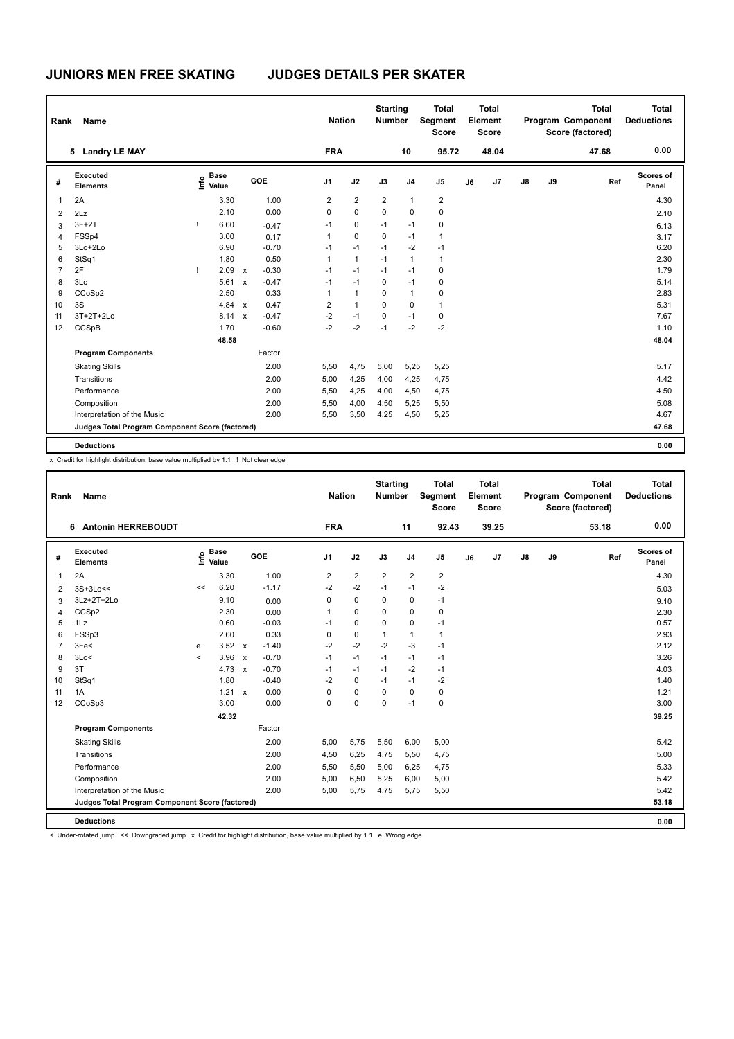| Rank           | Name                                            |    |                                  |                           |         |              | <b>Nation</b>  | <b>Starting</b><br><b>Number</b> |                | <b>Total</b><br>Segment<br><b>Score</b> |    | Total<br>Element<br><b>Score</b> |               |    | <b>Total</b><br>Program Component<br>Score (factored) | Total<br><b>Deductions</b> |
|----------------|-------------------------------------------------|----|----------------------------------|---------------------------|---------|--------------|----------------|----------------------------------|----------------|-----------------------------------------|----|----------------------------------|---------------|----|-------------------------------------------------------|----------------------------|
|                | <b>Landry LE MAY</b><br>5                       |    |                                  |                           |         | <b>FRA</b>   |                |                                  | 10             | 95.72                                   |    | 48.04                            |               |    | 47.68                                                 | 0.00                       |
| #              | Executed<br><b>Elements</b>                     |    | <b>Base</b><br>e Base<br>⊆ Value |                           | GOE     | J1           | J2             | J3                               | J <sub>4</sub> | J <sub>5</sub>                          | J6 | J <sub>7</sub>                   | $\mathsf{J}8$ | J9 | Ref                                                   | Scores of<br>Panel         |
| 1              | 2A                                              |    | 3.30                             |                           | 1.00    | 2            | $\overline{2}$ | $\overline{2}$                   | 1              | $\overline{2}$                          |    |                                  |               |    |                                                       | 4.30                       |
| $\overline{2}$ | 2Lz                                             |    | 2.10                             |                           | 0.00    | 0            | $\mathbf 0$    | 0                                | 0              | $\mathbf 0$                             |    |                                  |               |    |                                                       | 2.10                       |
| 3              | $3F+2T$                                         | -1 | 6.60                             |                           | $-0.47$ | $-1$         | 0              | $-1$                             | $-1$           | 0                                       |    |                                  |               |    |                                                       | 6.13                       |
| $\overline{4}$ | FSSp4                                           |    | 3.00                             |                           | 0.17    | $\mathbf{1}$ | $\mathbf 0$    | 0                                | $-1$           | 1                                       |    |                                  |               |    |                                                       | 3.17                       |
| 5              | 3Lo+2Lo                                         |    | 6.90                             |                           | $-0.70$ | $-1$         | $-1$           | $-1$                             | $-2$           | $-1$                                    |    |                                  |               |    |                                                       | 6.20                       |
| 6              | StSq1                                           |    | 1.80                             |                           | 0.50    | $\mathbf{1}$ | $\mathbf{1}$   | $-1$                             | 1              | $\mathbf{1}$                            |    |                                  |               |    |                                                       | 2.30                       |
| $\overline{7}$ | 2F                                              | -1 | 2.09                             | $\mathsf{x}$              | $-0.30$ | $-1$         | $-1$           | $-1$                             | $-1$           | 0                                       |    |                                  |               |    |                                                       | 1.79                       |
| 8              | 3Lo                                             |    | 5.61                             | $\boldsymbol{\mathsf{x}}$ | $-0.47$ | $-1$         | $-1$           | 0                                | $-1$           | 0                                       |    |                                  |               |    |                                                       | 5.14                       |
| 9              | CCoSp2                                          |    | 2.50                             |                           | 0.33    | $\mathbf{1}$ | $\mathbf{1}$   | 0                                | 1              | 0                                       |    |                                  |               |    |                                                       | 2.83                       |
| 10             | 3S                                              |    | 4.84                             | $\boldsymbol{\mathsf{x}}$ | 0.47    | 2            | $\mathbf{1}$   | 0                                | $\mathbf 0$    | $\mathbf{1}$                            |    |                                  |               |    |                                                       | 5.31                       |
| 11             | 3T+2T+2Lo                                       |    | 8.14                             | $\mathbf{x}$              | $-0.47$ | $-2$         | $-1$           | 0                                | $-1$           | 0                                       |    |                                  |               |    |                                                       | 7.67                       |
| 12             | CCSpB                                           |    | 1.70                             |                           | $-0.60$ | $-2$         | $-2$           | $-1$                             | $-2$           | $-2$                                    |    |                                  |               |    |                                                       | 1.10                       |
|                |                                                 |    | 48.58                            |                           |         |              |                |                                  |                |                                         |    |                                  |               |    |                                                       | 48.04                      |
|                | <b>Program Components</b>                       |    |                                  |                           | Factor  |              |                |                                  |                |                                         |    |                                  |               |    |                                                       |                            |
|                | <b>Skating Skills</b>                           |    |                                  |                           | 2.00    | 5,50         | 4,75           | 5,00                             | 5,25           | 5,25                                    |    |                                  |               |    |                                                       | 5.17                       |
|                | Transitions                                     |    |                                  |                           | 2.00    | 5,00         | 4,25           | 4,00                             | 4,25           | 4,75                                    |    |                                  |               |    |                                                       | 4.42                       |
|                | Performance                                     |    |                                  |                           | 2.00    | 5,50         | 4,25           | 4,00                             | 4,50           | 4,75                                    |    |                                  |               |    |                                                       | 4.50                       |
|                | Composition                                     |    |                                  |                           | 2.00    | 5,50         | 4,00           | 4,50                             | 5,25           | 5,50                                    |    |                                  |               |    |                                                       | 5.08                       |
|                | Interpretation of the Music                     |    |                                  |                           | 2.00    | 5,50         | 3,50           | 4,25                             | 4,50           | 5,25                                    |    |                                  |               |    |                                                       | 4.67                       |
|                | Judges Total Program Component Score (factored) |    |                                  |                           |         |              |                |                                  |                |                                         |    |                                  |               |    |                                                       | 47.68                      |
|                | <b>Deductions</b>                               |    |                                  |                           |         |              |                |                                  |                |                                         |    |                                  |               |    |                                                       | 0.00                       |
|                |                                                 |    |                                  |                           |         |              |                |                                  |                |                                         |    |                                  |               |    |                                                       |                            |

x Credit for highlight distribution, base value multiplied by 1.1 ! Not clear edge

| Rank           | <b>Name</b>                                     |         |                                  |                           |         | <b>Nation</b>  |                | <b>Starting</b><br><b>Number</b> |                | <b>Total</b><br>Segment<br><b>Score</b> |    | Total<br>Element<br><b>Score</b> |               |    | <b>Total</b><br>Program Component<br>Score (factored) | Total<br><b>Deductions</b> |
|----------------|-------------------------------------------------|---------|----------------------------------|---------------------------|---------|----------------|----------------|----------------------------------|----------------|-----------------------------------------|----|----------------------------------|---------------|----|-------------------------------------------------------|----------------------------|
|                | <b>Antonin HERREBOUDT</b><br>6                  |         |                                  |                           |         | <b>FRA</b>     |                |                                  | 11             | 92.43                                   |    | 39.25                            |               |    | 53.18                                                 | 0.00                       |
| #              | Executed<br><b>Elements</b>                     |         | <b>Base</b><br>e Base<br>⊆ Value |                           | GOE     | J <sub>1</sub> | J2             | J3                               | J <sub>4</sub> | J <sub>5</sub>                          | J6 | J7                               | $\mathsf{J}8$ | J9 | Ref                                                   | Scores of<br>Panel         |
| $\overline{1}$ | 2A                                              |         | 3.30                             |                           | 1.00    | $\overline{2}$ | $\overline{2}$ | $\overline{2}$                   | $\overline{2}$ | $\overline{\mathbf{c}}$                 |    |                                  |               |    |                                                       | 4.30                       |
| 2              | $3S+3Lo<<$                                      | <<      | 6.20                             |                           | $-1.17$ | $-2$           | $-2$           | $-1$                             | $-1$           | $-2$                                    |    |                                  |               |    |                                                       | 5.03                       |
| 3              | 3Lz+2T+2Lo                                      |         | 9.10                             |                           | 0.00    | 0              | $\mathbf 0$    | $\mathbf 0$                      | $\mathbf 0$    | $-1$                                    |    |                                  |               |    |                                                       | 9.10                       |
| 4              | CCSp2                                           |         | 2.30                             |                           | 0.00    | 1              | $\mathbf 0$    | 0                                | $\mathbf 0$    | 0                                       |    |                                  |               |    |                                                       | 2.30                       |
| 5              | 1Lz                                             |         | 0.60                             |                           | $-0.03$ | $-1$           | $\mathbf 0$    | $\mathbf 0$                      | $\mathbf 0$    | $-1$                                    |    |                                  |               |    |                                                       | 0.57                       |
| 6              | FSSp3                                           |         | 2.60                             |                           | 0.33    | 0              | $\mathbf 0$    | $\mathbf{1}$                     | $\mathbf{1}$   | $\mathbf{1}$                            |    |                                  |               |    |                                                       | 2.93                       |
| $\overline{7}$ | 3Fe<                                            | е       | 3.52                             | $\mathsf{x}$              | $-1.40$ | $-2$           | $-2$           | $-2$                             | $-3$           | $-1$                                    |    |                                  |               |    |                                                       | 2.12                       |
| 8              | 3Lo<                                            | $\prec$ | 3.96                             | $\boldsymbol{\mathsf{x}}$ | $-0.70$ | $-1$           | $-1$           | $-1$                             | $-1$           | $-1$                                    |    |                                  |               |    |                                                       | 3.26                       |
| 9              | 3T                                              |         | 4.73                             | $\boldsymbol{\mathsf{x}}$ | $-0.70$ | $-1$           | $-1$           | $-1$                             | $-2$           | $-1$                                    |    |                                  |               |    |                                                       | 4.03                       |
| 10             | StSq1                                           |         | 1.80                             |                           | $-0.40$ | $-2$           | $\mathbf 0$    | $-1$                             | $-1$           | $-2$                                    |    |                                  |               |    |                                                       | 1.40                       |
| 11             | 1A                                              |         | $1.21 \times$                    |                           | 0.00    | 0              | $\mathbf 0$    | $\Omega$                         | $\mathbf 0$    | 0                                       |    |                                  |               |    |                                                       | 1.21                       |
| 12             | CCoSp3                                          |         | 3.00                             |                           | 0.00    | 0              | $\Omega$       | $\Omega$                         | $-1$           | 0                                       |    |                                  |               |    |                                                       | 3.00                       |
|                |                                                 |         | 42.32                            |                           |         |                |                |                                  |                |                                         |    |                                  |               |    |                                                       | 39.25                      |
|                | <b>Program Components</b>                       |         |                                  |                           | Factor  |                |                |                                  |                |                                         |    |                                  |               |    |                                                       |                            |
|                | <b>Skating Skills</b>                           |         |                                  |                           | 2.00    | 5.00           | 5,75           | 5,50                             | 6,00           | 5,00                                    |    |                                  |               |    |                                                       | 5.42                       |
|                | Transitions                                     |         |                                  |                           | 2.00    | 4,50           | 6,25           | 4,75                             | 5,50           | 4,75                                    |    |                                  |               |    |                                                       | 5.00                       |
|                | Performance                                     |         |                                  |                           | 2.00    | 5,50           | 5,50           | 5,00                             | 6,25           | 4,75                                    |    |                                  |               |    |                                                       | 5.33                       |
|                | Composition                                     |         |                                  |                           | 2.00    | 5,00           | 6,50           | 5,25                             | 6,00           | 5,00                                    |    |                                  |               |    |                                                       | 5.42                       |
|                | Interpretation of the Music                     |         |                                  |                           | 2.00    | 5,00           | 5,75           | 4,75                             | 5,75           | 5,50                                    |    |                                  |               |    |                                                       | 5.42                       |
|                | Judges Total Program Component Score (factored) |         |                                  |                           |         |                |                |                                  |                |                                         |    |                                  |               |    |                                                       | 53.18                      |
|                |                                                 |         |                                  |                           |         |                |                |                                  |                |                                         |    |                                  |               |    |                                                       |                            |
|                | <b>Deductions</b>                               |         |                                  |                           |         |                |                |                                  |                |                                         |    |                                  |               |    |                                                       | 0.00                       |

< Under-rotated jump << Downgraded jump x Credit for highlight distribution, base value multiplied by 1.1 e Wrong edge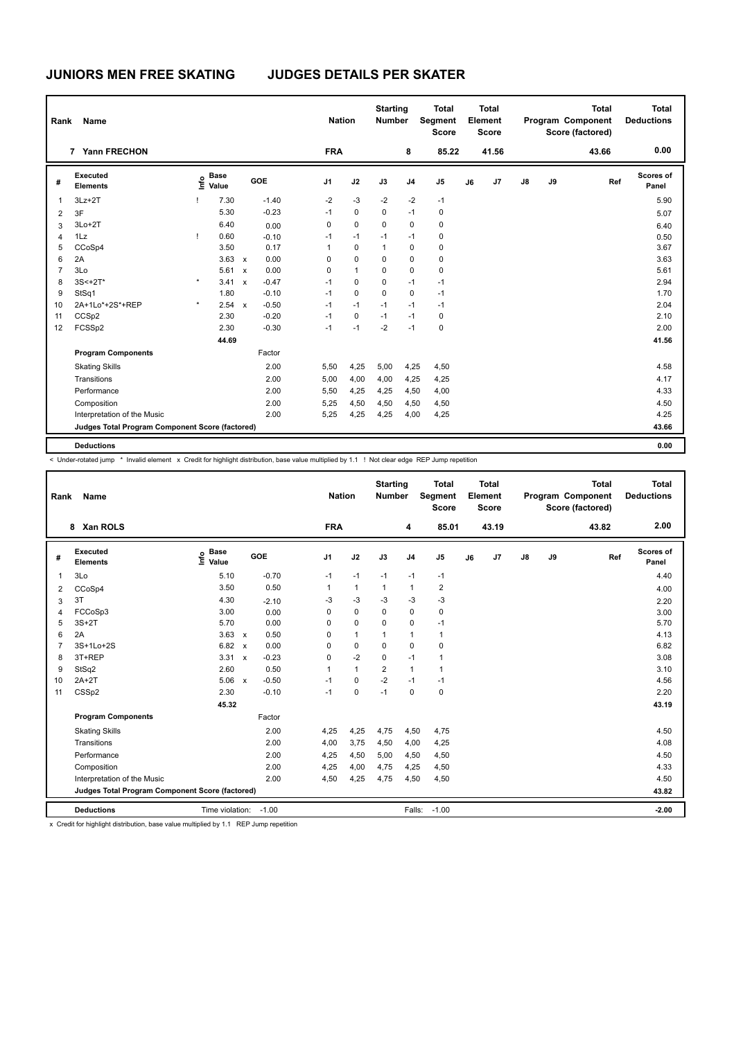| Rank | <b>Name</b>                                     |         |                                  |              |         | <b>Nation</b>  |              | <b>Starting</b><br><b>Number</b> |                | <b>Total</b><br>Segment<br><b>Score</b> |    | <b>Total</b><br>Element<br><b>Score</b> |    |    | <b>Total</b><br>Program Component<br>Score (factored) | Total<br><b>Deductions</b> |
|------|-------------------------------------------------|---------|----------------------------------|--------------|---------|----------------|--------------|----------------------------------|----------------|-----------------------------------------|----|-----------------------------------------|----|----|-------------------------------------------------------|----------------------------|
|      | 7 Yann FRECHON                                  |         |                                  |              |         | <b>FRA</b>     |              |                                  | 8              | 85.22                                   |    | 41.56                                   |    |    | 43.66                                                 | 0.00                       |
| #    | Executed<br><b>Elements</b>                     |         | <b>Base</b><br>e Base<br>⊆ Value |              | GOE     | J <sub>1</sub> | J2           | J3                               | J <sub>4</sub> | J <sub>5</sub>                          | J6 | J7                                      | J8 | J9 | Ref                                                   | <b>Scores of</b><br>Panel  |
| 1    | $3Lz + 2T$                                      |         | 7.30                             |              | $-1.40$ | $-2$           | $-3$         | $-2$                             | $-2$           | $-1$                                    |    |                                         |    |    |                                                       | 5.90                       |
| 2    | 3F                                              |         | 5.30                             |              | $-0.23$ | $-1$           | 0            | $\Omega$                         | $-1$           | 0                                       |    |                                         |    |    |                                                       | 5.07                       |
| 3    | $3Lo+2T$                                        |         | 6.40                             |              | 0.00    | 0              | $\mathbf 0$  | 0                                | 0              | 0                                       |    |                                         |    |    |                                                       | 6.40                       |
| 4    | 1Lz                                             |         | 0.60                             |              | $-0.10$ | $-1$           | $-1$         | $-1$                             | $-1$           | 0                                       |    |                                         |    |    |                                                       | 0.50                       |
| 5    | CCoSp4                                          |         | 3.50                             |              | 0.17    | $\overline{1}$ | $\mathbf 0$  | 1                                | 0              | $\pmb{0}$                               |    |                                         |    |    |                                                       | 3.67                       |
| 6    | 2A                                              |         | 3.63                             | $\mathbf{x}$ | 0.00    | 0              | 0            | $\Omega$                         | 0              | 0                                       |    |                                         |    |    |                                                       | 3.63                       |
| 7    | 3Lo                                             |         | 5.61                             | $\mathsf{x}$ | 0.00    | 0              | $\mathbf{1}$ | 0                                | $\mathbf 0$    | $\pmb{0}$                               |    |                                         |    |    |                                                       | 5.61                       |
| 8    | $3S < +2T$ *                                    | $\star$ | 3.41                             | $\mathsf{x}$ | $-0.47$ | $-1$           | 0            | 0                                | $-1$           | $-1$                                    |    |                                         |    |    |                                                       | 2.94                       |
| 9    | StSq1                                           |         | 1.80                             |              | $-0.10$ | $-1$           | $\mathbf 0$  | $\Omega$                         | $\mathbf 0$    | $-1$                                    |    |                                         |    |    |                                                       | 1.70                       |
| 10   | 2A+1Lo*+2S*+REP                                 | $\star$ | 2.54                             | $\mathsf{x}$ | $-0.50$ | $-1$           | $-1$         | $-1$                             | $-1$           | $-1$                                    |    |                                         |    |    |                                                       | 2.04                       |
| 11   | CCSp2                                           |         | 2.30                             |              | $-0.20$ | $-1$           | $\mathbf 0$  | $-1$                             | $-1$           | 0                                       |    |                                         |    |    |                                                       | 2.10                       |
| 12   | FCSSp2                                          |         | 2.30                             |              | $-0.30$ | $-1$           | $-1$         | $-2$                             | $-1$           | $\mathbf 0$                             |    |                                         |    |    |                                                       | 2.00                       |
|      |                                                 |         | 44.69                            |              |         |                |              |                                  |                |                                         |    |                                         |    |    |                                                       | 41.56                      |
|      | <b>Program Components</b>                       |         |                                  |              | Factor  |                |              |                                  |                |                                         |    |                                         |    |    |                                                       |                            |
|      | <b>Skating Skills</b>                           |         |                                  |              | 2.00    | 5,50           | 4,25         | 5,00                             | 4,25           | 4,50                                    |    |                                         |    |    |                                                       | 4.58                       |
|      | Transitions                                     |         |                                  |              | 2.00    | 5,00           | 4,00         | 4,00                             | 4,25           | 4,25                                    |    |                                         |    |    |                                                       | 4.17                       |
|      | Performance                                     |         |                                  |              | 2.00    | 5,50           | 4,25         | 4,25                             | 4,50           | 4,00                                    |    |                                         |    |    |                                                       | 4.33                       |
|      | Composition                                     |         |                                  |              | 2.00    | 5,25           | 4,50         | 4,50                             | 4,50           | 4,50                                    |    |                                         |    |    |                                                       | 4.50                       |
|      | Interpretation of the Music                     |         |                                  |              | 2.00    | 5,25           | 4,25         | 4,25                             | 4,00           | 4,25                                    |    |                                         |    |    |                                                       | 4.25                       |
|      | Judges Total Program Component Score (factored) |         |                                  |              |         |                |              |                                  |                |                                         |    |                                         |    |    |                                                       | 43.66                      |
|      |                                                 |         |                                  |              |         |                |              |                                  |                |                                         |    |                                         |    |    |                                                       |                            |
|      | <b>Deductions</b>                               |         |                                  |              |         |                |              |                                  |                |                                         |    |                                         |    |    |                                                       | 0.00                       |

< Under-rotated jump \* Invalid element x Credit for highlight distribution, base value multiplied by 1.1 ! Not clear edge REP Jump repetition

| Rank         | Name                                            |                            |                                   |            | <b>Nation</b> | <b>Starting</b><br><b>Number</b> |                | <b>Total</b><br>Segment<br><b>Score</b> |    | <b>Total</b><br>Element<br><b>Score</b> |    |    | <b>Total</b><br>Program Component<br>Score (factored) | <b>Total</b><br><b>Deductions</b> |
|--------------|-------------------------------------------------|----------------------------|-----------------------------------|------------|---------------|----------------------------------|----------------|-----------------------------------------|----|-----------------------------------------|----|----|-------------------------------------------------------|-----------------------------------|
|              | 8 Xan ROLS                                      |                            |                                   | <b>FRA</b> |               |                                  | 4              | 85.01                                   |    | 43.19                                   |    |    | 43.82                                                 | 2.00                              |
| #            | Executed<br><b>Elements</b>                     | e Base<br>⊆ Value<br>Value | <b>GOE</b>                        | J1         | J2            | J3                               | J <sub>4</sub> | J <sub>5</sub>                          | J6 | J7                                      | J8 | J9 | Ref                                                   | Scores of<br>Panel                |
| $\mathbf{1}$ | 3Lo                                             | 5.10                       | $-0.70$                           | $-1$       | $-1$          | $-1$                             | $-1$           | $-1$                                    |    |                                         |    |    |                                                       | 4.40                              |
| 2            | CCoSp4                                          | 3.50                       | 0.50                              | 1          | $\mathbf{1}$  | 1                                | $\mathbf{1}$   | 2                                       |    |                                         |    |    |                                                       | 4.00                              |
| 3            | 3T                                              | 4.30                       | $-2.10$                           | -3         | $-3$          | $-3$                             | $-3$           | $-3$                                    |    |                                         |    |    |                                                       | 2.20                              |
| 4            | FCCoSp3                                         | 3.00                       | 0.00                              | 0          | $\mathbf 0$   | $\mathbf 0$                      | $\mathbf 0$    | 0                                       |    |                                         |    |    |                                                       | 3.00                              |
| 5            | $3S+2T$                                         | 5.70                       | 0.00                              | 0          | $\mathbf 0$   | 0                                | $\mathbf 0$    | $-1$                                    |    |                                         |    |    |                                                       | 5.70                              |
| 6            | 2A                                              | $3.63 \times$              | 0.50                              | 0          | $\mathbf{1}$  | $\mathbf{1}$                     | $\mathbf{1}$   | 1                                       |    |                                         |    |    |                                                       | 4.13                              |
| 7            | 3S+1Lo+2S                                       | 6.82                       | 0.00<br>$\boldsymbol{\mathsf{x}}$ | 0          | $\mathbf 0$   | 0                                | $\mathbf 0$    | 0                                       |    |                                         |    |    |                                                       | 6.82                              |
| 8            | 3T+REP                                          | 3.31                       | $-0.23$<br>$\mathsf{x}$           | 0          | $-2$          | $\Omega$                         | $-1$           | 1                                       |    |                                         |    |    |                                                       | 3.08                              |
| 9            | StSq2                                           | 2.60                       | 0.50                              | 1          | $\mathbf{1}$  | $\overline{2}$                   | $\mathbf{1}$   | 1                                       |    |                                         |    |    |                                                       | 3.10                              |
| 10           | $2A+2T$                                         | $5.06 \times$              | $-0.50$                           | $-1$       | $\mathbf 0$   | $-2$                             | $-1$           | $-1$                                    |    |                                         |    |    |                                                       | 4.56                              |
| 11           | CSSp2                                           | 2.30                       | $-0.10$                           | $-1$       | $\mathbf 0$   | $-1$                             | $\mathbf 0$    | 0                                       |    |                                         |    |    |                                                       | 2.20                              |
|              |                                                 | 45.32                      |                                   |            |               |                                  |                |                                         |    |                                         |    |    |                                                       | 43.19                             |
|              | <b>Program Components</b>                       |                            | Factor                            |            |               |                                  |                |                                         |    |                                         |    |    |                                                       |                                   |
|              | <b>Skating Skills</b>                           |                            | 2.00                              | 4,25       | 4,25          | 4,75                             | 4,50           | 4,75                                    |    |                                         |    |    |                                                       | 4.50                              |
|              | Transitions                                     |                            | 2.00                              | 4,00       | 3,75          | 4,50                             | 4,00           | 4,25                                    |    |                                         |    |    |                                                       | 4.08                              |
|              | Performance                                     |                            | 2.00                              | 4,25       | 4,50          | 5,00                             | 4,50           | 4,50                                    |    |                                         |    |    |                                                       | 4.50                              |
|              | Composition                                     |                            | 2.00                              | 4,25       | 4,00          | 4,75                             | 4,25           | 4,50                                    |    |                                         |    |    |                                                       | 4.33                              |
|              | Interpretation of the Music                     |                            | 2.00                              | 4,50       | 4,25          | 4,75                             | 4,50           | 4,50                                    |    |                                         |    |    |                                                       | 4.50                              |
|              | Judges Total Program Component Score (factored) |                            |                                   |            |               |                                  |                |                                         |    |                                         |    |    |                                                       | 43.82                             |
|              | <b>Deductions</b>                               | Time violation:            | $-1.00$                           |            |               |                                  | Falls:         | $-1.00$                                 |    |                                         |    |    |                                                       | $-2.00$                           |

x Credit for highlight distribution, base value multiplied by 1.1 REP Jump repetition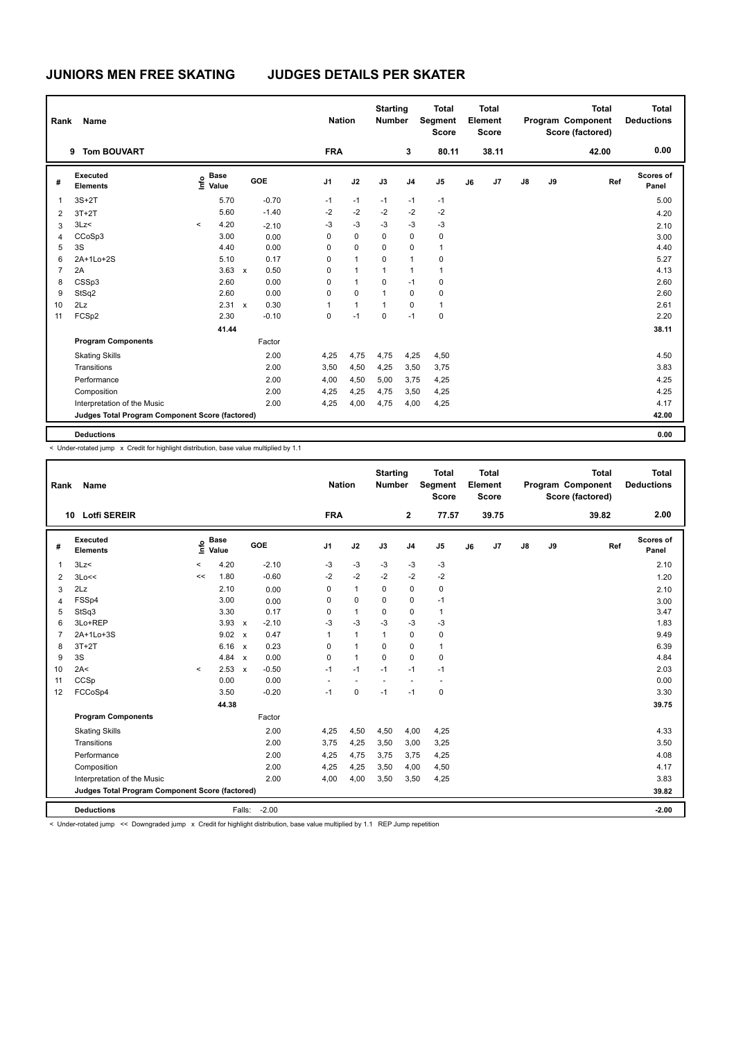| Rank           | Name                                            |         |                      |                           |            |                | <b>Nation</b> |              | <b>Starting</b><br><b>Number</b> |                | <b>Total</b><br>Segment<br><b>Score</b> |    | Total<br>Element<br><b>Score</b> |               |    | <b>Total</b><br>Program Component<br>Score (factored) | Total<br><b>Deductions</b> |
|----------------|-------------------------------------------------|---------|----------------------|---------------------------|------------|----------------|---------------|--------------|----------------------------------|----------------|-----------------------------------------|----|----------------------------------|---------------|----|-------------------------------------------------------|----------------------------|
|                | <b>Tom BOUVART</b><br>9                         |         |                      |                           |            |                | <b>FRA</b>    |              |                                  | 3              | 80.11                                   |    | 38.11                            |               |    | 42.00                                                 | 0.00                       |
| #              | Executed<br><b>Elements</b>                     | Info    | <b>Base</b><br>Value |                           | <b>GOE</b> | J <sub>1</sub> |               | J2           | J3                               | J <sub>4</sub> | J <sub>5</sub>                          | J6 | J <sub>7</sub>                   | $\mathsf{J}8$ | J9 | Ref                                                   | Scores of<br>Panel         |
| $\mathbf{1}$   | $3S+2T$                                         |         | 5.70                 |                           | $-0.70$    | $-1$           |               | $-1$         | $-1$                             | $-1$           | $-1$                                    |    |                                  |               |    |                                                       | 5.00                       |
| 2              | $3T+2T$                                         |         | 5.60                 |                           | $-1.40$    | $-2$           |               | $-2$         | $-2$                             | $-2$           | $-2$                                    |    |                                  |               |    |                                                       | 4.20                       |
| 3              | 3Lz                                             | $\prec$ | 4.20                 |                           | $-2.10$    | $-3$           |               | $-3$         | $-3$                             | $-3$           | $-3$                                    |    |                                  |               |    |                                                       | 2.10                       |
| 4              | CCoSp3                                          |         | 3.00                 |                           | 0.00       | 0              |               | 0            | 0                                | 0              | 0                                       |    |                                  |               |    |                                                       | 3.00                       |
| 5              | 3S                                              |         | 4.40                 |                           | 0.00       | 0              |               | $\mathbf 0$  | 0                                | 0              | 1                                       |    |                                  |               |    |                                                       | 4.40                       |
| 6              | 2A+1Lo+2S                                       |         | 5.10                 |                           | 0.17       | 0              |               | $\mathbf{1}$ | 0                                | 1              | $\mathbf 0$                             |    |                                  |               |    |                                                       | 5.27                       |
| $\overline{7}$ | 2A                                              |         | 3.63                 | $\boldsymbol{\mathsf{x}}$ | 0.50       | 0              |               | $\mathbf{1}$ | 1                                | 1              | 1                                       |    |                                  |               |    |                                                       | 4.13                       |
| 8              | CSSp3                                           |         | 2.60                 |                           | 0.00       | 0              |               | $\mathbf{1}$ | 0                                | $-1$           | 0                                       |    |                                  |               |    |                                                       | 2.60                       |
| 9              | StSq2                                           |         | 2.60                 |                           | 0.00       | 0              |               | $\mathbf 0$  | 1                                | $\Omega$       | 0                                       |    |                                  |               |    |                                                       | 2.60                       |
| 10             | 2Lz                                             |         | $2.31 \times$        |                           | 0.30       | $\mathbf{1}$   |               | $\mathbf{1}$ | 1                                | 0              | $\mathbf{1}$                            |    |                                  |               |    |                                                       | 2.61                       |
| 11             | FCSp2                                           |         | 2.30                 |                           | $-0.10$    | 0              |               | $-1$         | 0                                | $-1$           | $\mathbf 0$                             |    |                                  |               |    |                                                       | 2.20                       |
|                |                                                 |         | 41.44                |                           |            |                |               |              |                                  |                |                                         |    |                                  |               |    |                                                       | 38.11                      |
|                | <b>Program Components</b>                       |         |                      |                           | Factor     |                |               |              |                                  |                |                                         |    |                                  |               |    |                                                       |                            |
|                | <b>Skating Skills</b>                           |         |                      |                           | 2.00       | 4,25           |               | 4,75         | 4,75                             | 4,25           | 4,50                                    |    |                                  |               |    |                                                       | 4.50                       |
|                | Transitions                                     |         |                      |                           | 2.00       | 3,50           |               | 4,50         | 4,25                             | 3,50           | 3,75                                    |    |                                  |               |    |                                                       | 3.83                       |
|                | Performance                                     |         |                      |                           | 2.00       | 4,00           |               | 4,50         | 5,00                             | 3,75           | 4,25                                    |    |                                  |               |    |                                                       | 4.25                       |
|                | Composition                                     |         |                      |                           | 2.00       | 4,25           |               | 4,25         | 4,75                             | 3,50           | 4,25                                    |    |                                  |               |    |                                                       | 4.25                       |
|                | Interpretation of the Music                     |         |                      |                           | 2.00       | 4,25           |               | 4,00         | 4,75                             | 4,00           | 4,25                                    |    |                                  |               |    |                                                       | 4.17                       |
|                | Judges Total Program Component Score (factored) |         |                      |                           |            |                |               |              |                                  |                |                                         |    |                                  |               |    |                                                       | 42.00                      |
|                | <b>Deductions</b>                               |         |                      |                           |            |                |               |              |                                  |                |                                         |    |                                  |               |    |                                                       | 0.00                       |

< Under-rotated jump x Credit for highlight distribution, base value multiplied by 1.1

| Rank           | <b>Name</b>                                     |         |                      |                           |         | <b>Nation</b>  |                | <b>Starting</b><br>Number |                | <b>Total</b><br>Segment<br><b>Score</b> |    | Total<br>Element<br><b>Score</b> |               |    | <b>Total</b><br>Program Component<br>Score (factored) | <b>Total</b><br><b>Deductions</b> |
|----------------|-------------------------------------------------|---------|----------------------|---------------------------|---------|----------------|----------------|---------------------------|----------------|-----------------------------------------|----|----------------------------------|---------------|----|-------------------------------------------------------|-----------------------------------|
|                | <b>Lotfi SEREIR</b><br>10                       |         |                      |                           |         | <b>FRA</b>     |                |                           | $\overline{2}$ | 77.57                                   |    | 39.75                            |               |    | 39.82                                                 | 2.00                              |
| #              | <b>Executed</b><br><b>Elements</b>              | lnfo    | <b>Base</b><br>Value |                           | GOE     | J <sub>1</sub> | J2             | J3                        | J <sub>4</sub> | J <sub>5</sub>                          | J6 | J7                               | $\mathsf{J}8$ | J9 | Ref                                                   | <b>Scores of</b><br>Panel         |
| $\mathbf{1}$   | 3Lz<                                            | $\,<$   | 4.20                 |                           | $-2.10$ | $-3$           | $-3$           | $-3$                      | $-3$           | $-3$                                    |    |                                  |               |    |                                                       | 2.10                              |
| $\overline{2}$ | 3Lo<<                                           | <<      | 1.80                 |                           | $-0.60$ | $-2$           | $-2$           | $-2$                      | $-2$           | $-2$                                    |    |                                  |               |    |                                                       | 1.20                              |
| 3              | 2Lz                                             |         | 2.10                 |                           | 0.00    | 0              | $\mathbf{1}$   | $\mathbf 0$               | $\mathbf 0$    | $\mathbf 0$                             |    |                                  |               |    |                                                       | 2.10                              |
| $\overline{4}$ | FSSp4                                           |         | 3.00                 |                           | 0.00    | 0              | $\mathbf 0$    | $\Omega$                  | $\mathbf 0$    | $-1$                                    |    |                                  |               |    |                                                       | 3.00                              |
| 5              | StSq3                                           |         | 3.30                 |                           | 0.17    | 0              | $\mathbf{1}$   | $\mathbf 0$               | $\pmb{0}$      | $\mathbf{1}$                            |    |                                  |               |    |                                                       | 3.47                              |
| 6              | 3Lo+REP                                         |         | 3.93                 | $\mathsf{x}$              | $-2.10$ | $-3$           | $-3$           | $-3$                      | $-3$           | $-3$                                    |    |                                  |               |    |                                                       | 1.83                              |
| $\overline{7}$ | 2A+1Lo+3S                                       |         | 9.02                 | $\boldsymbol{\mathsf{x}}$ | 0.47    | 1              | $\mathbf{1}$   | $\mathbf{1}$              | $\mathbf 0$    | 0                                       |    |                                  |               |    |                                                       | 9.49                              |
| 8              | $3T+2T$                                         |         | 6.16                 | $\mathsf{x}$              | 0.23    | 0              | $\mathbf{1}$   | $\mathbf 0$               | $\mathbf 0$    | 1                                       |    |                                  |               |    |                                                       | 6.39                              |
| 9              | 3S                                              |         | 4.84 $\times$        |                           | 0.00    | $\Omega$       | $\mathbf{1}$   | $\Omega$                  | $\Omega$       | $\mathbf 0$                             |    |                                  |               |    |                                                       | 4.84                              |
| 10             | 2A<                                             | $\prec$ | 2.53                 | $\mathsf{x}$              | $-0.50$ | $-1$           | $-1$           | $-1$                      | $-1$           | $-1$                                    |    |                                  |               |    |                                                       | 2.03                              |
| 11             | CCSp                                            |         | 0.00                 |                           | 0.00    | ٠              | $\overline{a}$ | ٠                         | ٠.             | $\blacksquare$                          |    |                                  |               |    |                                                       | 0.00                              |
| 12             | FCCoSp4                                         |         | 3.50                 |                           | $-0.20$ | $-1$           | $\mathbf 0$    | $-1$                      | $-1$           | 0                                       |    |                                  |               |    |                                                       | 3.30                              |
|                |                                                 |         | 44.38                |                           |         |                |                |                           |                |                                         |    |                                  |               |    |                                                       | 39.75                             |
|                | <b>Program Components</b>                       |         |                      |                           | Factor  |                |                |                           |                |                                         |    |                                  |               |    |                                                       |                                   |
|                | <b>Skating Skills</b>                           |         |                      |                           | 2.00    | 4,25           | 4,50           | 4,50                      | 4,00           | 4,25                                    |    |                                  |               |    |                                                       | 4.33                              |
|                | Transitions                                     |         |                      |                           | 2.00    | 3,75           | 4,25           | 3,50                      | 3,00           | 3,25                                    |    |                                  |               |    |                                                       | 3.50                              |
|                | Performance                                     |         |                      |                           | 2.00    | 4,25           | 4,75           | 3,75                      | 3,75           | 4,25                                    |    |                                  |               |    |                                                       | 4.08                              |
|                | Composition                                     |         |                      |                           | 2.00    | 4,25           | 4,25           | 3,50                      | 4,00           | 4,50                                    |    |                                  |               |    |                                                       | 4.17                              |
|                | Interpretation of the Music                     |         |                      |                           | 2.00    | 4,00           | 4,00           | 3,50                      | 3,50           | 4,25                                    |    |                                  |               |    |                                                       | 3.83                              |
|                | Judges Total Program Component Score (factored) |         |                      |                           |         |                |                |                           |                |                                         |    |                                  |               |    |                                                       | 39.82                             |
|                | <b>Deductions</b>                               |         |                      | Falls:                    | $-2.00$ |                |                |                           |                |                                         |    |                                  |               |    |                                                       | $-2.00$                           |

< Under-rotated jump << Downgraded jump x Credit for highlight distribution, base value multiplied by 1.1 REP Jump repetition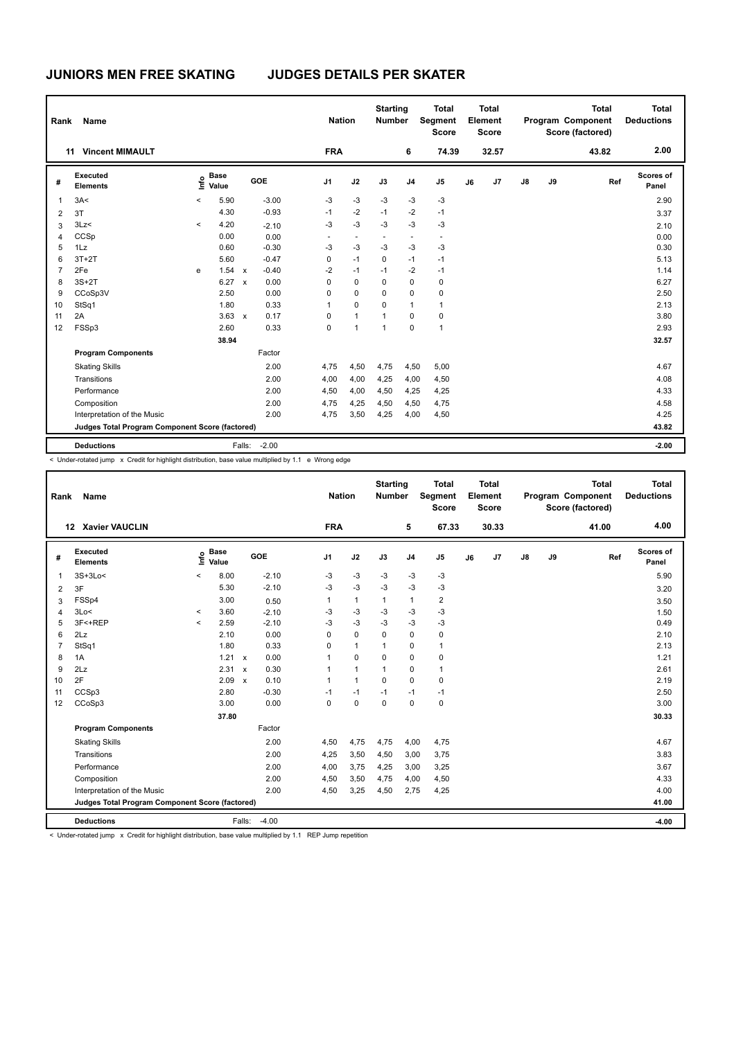| Rank           | Name                                            |         |                      |                           |         | <b>Nation</b>            |                          | <b>Starting</b><br>Number |      | <b>Total</b><br>Segment<br><b>Score</b> |    | <b>Total</b><br>Element<br><b>Score</b> |    |    | <b>Total</b><br>Program Component<br>Score (factored) | <b>Total</b><br><b>Deductions</b> |
|----------------|-------------------------------------------------|---------|----------------------|---------------------------|---------|--------------------------|--------------------------|---------------------------|------|-----------------------------------------|----|-----------------------------------------|----|----|-------------------------------------------------------|-----------------------------------|
| 11             | <b>Vincent MIMAULT</b>                          |         |                      |                           |         | <b>FRA</b>               |                          |                           | 6    | 74.39                                   |    | 32.57                                   |    |    | 43.82                                                 | 2.00                              |
| #              | Executed<br><b>Elements</b>                     | lnfo    | <b>Base</b><br>Value | GOE                       |         | J1                       | J2                       | J3                        | J4   | J <sub>5</sub>                          | J6 | J <sub>7</sub>                          | J8 | J9 | Ref                                                   | <b>Scores of</b><br>Panel         |
| $\mathbf{1}$   | 3A<                                             | $\,<$   | 5.90                 |                           | $-3.00$ | $-3$                     | $-3$                     | $-3$                      | $-3$ | $-3$                                    |    |                                         |    |    |                                                       | 2.90                              |
| 2              | 3T                                              |         | 4.30                 |                           | $-0.93$ | $-1$                     | $-2$                     | $-1$                      | $-2$ | $-1$                                    |    |                                         |    |    |                                                       | 3.37                              |
| 3              | 3Lz                                             | $\prec$ | 4.20                 |                           | $-2.10$ | $-3$                     | $-3$                     | $-3$                      | $-3$ | $-3$                                    |    |                                         |    |    |                                                       | 2.10                              |
| $\overline{4}$ | CCSp                                            |         | 0.00                 |                           | 0.00    | $\overline{\phantom{a}}$ | $\overline{\phantom{a}}$ |                           |      | $\overline{\phantom{a}}$                |    |                                         |    |    |                                                       | 0.00                              |
| 5              | 1Lz                                             |         | 0.60                 |                           | $-0.30$ | $-3$                     | $-3$                     | $-3$                      | $-3$ | $-3$                                    |    |                                         |    |    |                                                       | 0.30                              |
| 6              | $3T+2T$                                         |         | 5.60                 |                           | $-0.47$ | 0                        | $-1$                     | 0                         | $-1$ | $-1$                                    |    |                                         |    |    |                                                       | 5.13                              |
| $\overline{7}$ | 2Fe                                             | e       | 1.54                 | $\mathsf{x}$              | $-0.40$ | $-2$                     | $-1$                     | $-1$                      | $-2$ | $-1$                                    |    |                                         |    |    |                                                       | 1.14                              |
| 8              | $3S+2T$                                         |         | 6.27                 | $\boldsymbol{\mathsf{x}}$ | 0.00    | 0                        | $\mathbf 0$              | 0                         | 0    | $\mathbf 0$                             |    |                                         |    |    |                                                       | 6.27                              |
| 9              | CCoSp3V                                         |         | 2.50                 |                           | 0.00    | 0                        | $\mathbf 0$              | 0                         | 0    | $\mathbf 0$                             |    |                                         |    |    |                                                       | 2.50                              |
| 10             | StSq1                                           |         | 1.80                 |                           | 0.33    | 1                        | $\mathbf 0$              | $\Omega$                  | 1    | 1                                       |    |                                         |    |    |                                                       | 2.13                              |
| 11             | 2A                                              |         | 3.63                 | $\boldsymbol{\mathsf{x}}$ | 0.17    | 0                        | $\mathbf{1}$             | 1                         | 0    | 0                                       |    |                                         |    |    |                                                       | 3.80                              |
| 12             | FSSp3                                           |         | 2.60                 |                           | 0.33    | 0                        | 1                        | 1                         | 0    | $\mathbf{1}$                            |    |                                         |    |    |                                                       | 2.93                              |
|                |                                                 |         | 38.94                |                           |         |                          |                          |                           |      |                                         |    |                                         |    |    |                                                       | 32.57                             |
|                | <b>Program Components</b>                       |         |                      |                           | Factor  |                          |                          |                           |      |                                         |    |                                         |    |    |                                                       |                                   |
|                | <b>Skating Skills</b>                           |         |                      |                           | 2.00    | 4,75                     | 4,50                     | 4,75                      | 4,50 | 5,00                                    |    |                                         |    |    |                                                       | 4.67                              |
|                | Transitions                                     |         |                      |                           | 2.00    | 4,00                     | 4,00                     | 4,25                      | 4,00 | 4,50                                    |    |                                         |    |    |                                                       | 4.08                              |
|                | Performance                                     |         |                      |                           | 2.00    | 4,50                     | 4,00                     | 4,50                      | 4,25 | 4,25                                    |    |                                         |    |    |                                                       | 4.33                              |
|                | Composition                                     |         |                      |                           | 2.00    | 4,75                     | 4,25                     | 4,50                      | 4,50 | 4,75                                    |    |                                         |    |    |                                                       | 4.58                              |
|                | Interpretation of the Music                     |         |                      |                           | 2.00    | 4,75                     | 3,50                     | 4,25                      | 4,00 | 4,50                                    |    |                                         |    |    |                                                       | 4.25                              |
|                | Judges Total Program Component Score (factored) |         |                      |                           |         |                          |                          |                           |      |                                         |    |                                         |    |    |                                                       | 43.82                             |
|                | <b>Deductions</b>                               |         |                      | Falls:                    | $-2.00$ |                          |                          |                           |      |                                         |    |                                         |    |    |                                                       | $-2.00$                           |

< Under-rotated jump x Credit for highlight distribution, base value multiplied by 1.1 e Wrong edge

| Rank           | Name                                            |         |                      |              |         |                | <b>Nation</b> |              | <b>Starting</b><br><b>Number</b> |                | <b>Total</b><br>Segment<br><b>Score</b> |    | Total<br>Element<br><b>Score</b> |               |    | <b>Total</b><br>Program Component<br>Score (factored) | <b>Total</b><br><b>Deductions</b> |
|----------------|-------------------------------------------------|---------|----------------------|--------------|---------|----------------|---------------|--------------|----------------------------------|----------------|-----------------------------------------|----|----------------------------------|---------------|----|-------------------------------------------------------|-----------------------------------|
|                | 12 Xavier VAUCLIN                               |         |                      |              |         |                | <b>FRA</b>    |              |                                  | 5              | 67.33                                   |    | 30.33                            |               |    | 41.00                                                 | 4.00                              |
| #              | Executed<br><b>Elements</b>                     | ١nfo    | <b>Base</b><br>Value |              | GOE     | J <sub>1</sub> |               | J2           | J3                               | J <sub>4</sub> | J <sub>5</sub>                          | J6 | J7                               | $\mathsf{J}8$ | J9 | Ref                                                   | Scores of<br>Panel                |
| 1              | $3S+3Lo<$                                       | $\prec$ | 8.00                 |              | $-2.10$ | $-3$           |               | $-3$         | $-3$                             | $-3$           | $-3$                                    |    |                                  |               |    |                                                       | 5.90                              |
| 2              | 3F                                              |         | 5.30                 |              | $-2.10$ | -3             |               | $-3$         | $-3$                             | $-3$           | $-3$                                    |    |                                  |               |    |                                                       | 3.20                              |
| 3              | FSSp4                                           |         | 3.00                 |              | 0.50    | $\mathbf{1}$   |               | $\mathbf{1}$ | $\mathbf{1}$                     | $\mathbf{1}$   | $\overline{2}$                          |    |                                  |               |    |                                                       | 3.50                              |
| 4              | 3Lo<                                            | $\prec$ | 3.60                 |              | $-2.10$ | $-3$           |               | $-3$         | $-3$                             | $-3$           | $-3$                                    |    |                                  |               |    |                                                       | 1.50                              |
| 5              | 3F<+REP                                         | $\,<\,$ | 2.59                 |              | $-2.10$ | $-3$           |               | $-3$         | $-3$                             | $-3$           | $-3$                                    |    |                                  |               |    |                                                       | 0.49                              |
| 6              | 2Lz                                             |         | 2.10                 |              | 0.00    | 0              |               | $\mathbf 0$  | 0                                | $\mathbf 0$    | 0                                       |    |                                  |               |    |                                                       | 2.10                              |
| $\overline{7}$ | StSq1                                           |         | 1.80                 |              | 0.33    | $\Omega$       |               | $\mathbf{1}$ | $\mathbf{1}$                     | $\mathbf 0$    | $\mathbf{1}$                            |    |                                  |               |    |                                                       | 2.13                              |
| 8              | 1A                                              |         | 1.21                 | $\mathsf{x}$ | 0.00    |                |               | $\mathbf 0$  | 0                                | $\mathbf 0$    | 0                                       |    |                                  |               |    |                                                       | 1.21                              |
| 9              | 2Lz                                             |         | 2.31                 | $\mathsf{x}$ | 0.30    | 1              |               | $\mathbf{1}$ | $\mathbf{1}$                     | $\mathbf 0$    | 1                                       |    |                                  |               |    |                                                       | 2.61                              |
| 10             | 2F                                              |         | 2.09                 | $\mathsf{x}$ | 0.10    | $\mathbf{1}$   |               | $\mathbf{1}$ | $\Omega$                         | $\mathbf 0$    | 0                                       |    |                                  |               |    |                                                       | 2.19                              |
| 11             | CCSp3                                           |         | 2.80                 |              | $-0.30$ | $-1$           |               | $-1$         | $-1$                             | $-1$           | $-1$                                    |    |                                  |               |    |                                                       | 2.50                              |
| 12             | CCoSp3                                          |         | 3.00                 |              | 0.00    | $\Omega$       |               | $\mathbf 0$  | $\Omega$                         | $\mathbf 0$    | $\mathbf 0$                             |    |                                  |               |    |                                                       | 3.00                              |
|                |                                                 |         | 37.80                |              |         |                |               |              |                                  |                |                                         |    |                                  |               |    |                                                       | 30.33                             |
|                | <b>Program Components</b>                       |         |                      |              | Factor  |                |               |              |                                  |                |                                         |    |                                  |               |    |                                                       |                                   |
|                | <b>Skating Skills</b>                           |         |                      |              | 2.00    | 4,50           |               | 4,75         | 4,75                             | 4,00           | 4,75                                    |    |                                  |               |    |                                                       | 4.67                              |
|                | Transitions                                     |         |                      |              | 2.00    | 4,25           |               | 3,50         | 4,50                             | 3,00           | 3,75                                    |    |                                  |               |    |                                                       | 3.83                              |
|                | Performance                                     |         |                      |              | 2.00    | 4,00           |               | 3,75         | 4,25                             | 3,00           | 3,25                                    |    |                                  |               |    |                                                       | 3.67                              |
|                | Composition                                     |         |                      |              | 2.00    | 4,50           |               | 3,50         | 4,75                             | 4,00           | 4,50                                    |    |                                  |               |    |                                                       | 4.33                              |
|                | Interpretation of the Music                     |         |                      |              | 2.00    | 4,50           |               | 3,25         | 4,50                             | 2,75           | 4,25                                    |    |                                  |               |    |                                                       | 4.00                              |
|                | Judges Total Program Component Score (factored) |         |                      |              |         |                |               |              |                                  |                |                                         |    |                                  |               |    |                                                       | 41.00                             |
|                |                                                 |         |                      |              |         |                |               |              |                                  |                |                                         |    |                                  |               |    |                                                       |                                   |
|                | <b>Deductions</b>                               |         |                      | Falls:       | $-4.00$ |                |               |              |                                  |                |                                         |    |                                  |               |    |                                                       | $-4.00$                           |

< Under-rotated jump x Credit for highlight distribution, base value multiplied by 1.1 REP Jump repetition